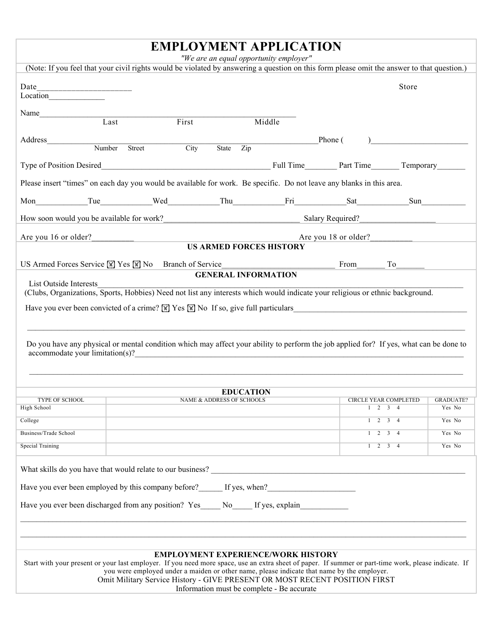## **EMPLOYMENT APPLICATION**

|  | "We are an equal opportunity employer" |
|--|----------------------------------------|
|--|----------------------------------------|

|                                                                                                                                                                                                                                       |        | "We are an equal opportunity employer"     |                  |  |                      |                                                      |                  |  |
|---------------------------------------------------------------------------------------------------------------------------------------------------------------------------------------------------------------------------------------|--------|--------------------------------------------|------------------|--|----------------------|------------------------------------------------------|------------------|--|
| (Note: If you feel that your civil rights would be violated by answering a question on this form please omit the answer to that question.)                                                                                            |        |                                            |                  |  |                      |                                                      |                  |  |
| Date                                                                                                                                                                                                                                  |        |                                            |                  |  |                      | Store                                                |                  |  |
| Name                                                                                                                                                                                                                                  |        |                                            |                  |  |                      |                                                      |                  |  |
| $\overline{\text{Last}}$                                                                                                                                                                                                              |        | First                                      | Middle           |  |                      |                                                      |                  |  |
|                                                                                                                                                                                                                                       |        |                                            |                  |  |                      |                                                      |                  |  |
| Address_<br>Number                                                                                                                                                                                                                    | Street | City<br>State                              | $\overline{Zip}$ |  | Phone (              |                                                      |                  |  |
|                                                                                                                                                                                                                                       |        |                                            |                  |  |                      |                                                      |                  |  |
|                                                                                                                                                                                                                                       |        |                                            |                  |  |                      |                                                      |                  |  |
| Please insert "times" on each day you would be available for work. Be specific. Do not leave any blanks in this area.                                                                                                                 |        |                                            |                  |  |                      |                                                      |                  |  |
|                                                                                                                                                                                                                                       |        |                                            |                  |  |                      |                                                      |                  |  |
| How soon would you be available for work?                                                                                                                                                                                             |        |                                            |                  |  | Salary Required?     |                                                      |                  |  |
| Are you 16 or older?                                                                                                                                                                                                                  |        |                                            |                  |  | Are you 18 or older? |                                                      |                  |  |
|                                                                                                                                                                                                                                       |        | <b>US ARMED FORCES HISTORY</b>             |                  |  |                      |                                                      |                  |  |
| US Armed Forces Service $\boxed{\mathbb{X}}$ Yes $\boxed{\mathbb{X}}$ No Branch of Service                                                                                                                                            |        |                                            |                  |  | $From$ To            |                                                      |                  |  |
|                                                                                                                                                                                                                                       |        | <b>GENERAL INFORMATION</b>                 |                  |  |                      |                                                      |                  |  |
| List Outside Interests                                                                                                                                                                                                                |        |                                            |                  |  |                      |                                                      |                  |  |
| (Clubs, Organizations, Sports, Hobbies) Need not list any interests which would indicate your religious or ethnic background.                                                                                                         |        |                                            |                  |  |                      |                                                      |                  |  |
| Have you ever been convicted of a crime? $\mathbb{F}$ Yes $\mathbb{F}$ No If so, give full particulars                                                                                                                                |        |                                            |                  |  |                      |                                                      |                  |  |
|                                                                                                                                                                                                                                       |        |                                            |                  |  |                      |                                                      |                  |  |
|                                                                                                                                                                                                                                       |        |                                            |                  |  |                      |                                                      |                  |  |
|                                                                                                                                                                                                                                       |        |                                            |                  |  |                      |                                                      |                  |  |
| Do you have any physical or mental condition which may affect your ability to perform the job applied for? If yes, what can be done to                                                                                                |        |                                            |                  |  |                      |                                                      |                  |  |
| accommodate your limitation(s)?<br><u>example</u> and the set of the set of the set of the set of the set of the set of the set of the set of the set of the set of the set of the set of the set of the set of the set of the set of |        |                                            |                  |  |                      |                                                      |                  |  |
|                                                                                                                                                                                                                                       |        |                                            |                  |  |                      |                                                      |                  |  |
|                                                                                                                                                                                                                                       |        |                                            |                  |  |                      |                                                      |                  |  |
| TYPE OF SCHOOL                                                                                                                                                                                                                        |        |                                            | <b>EDUCATION</b> |  |                      |                                                      | <b>GRADUATE?</b> |  |
| High School                                                                                                                                                                                                                           |        | NAME & ADDRESS OF SCHOOLS                  |                  |  |                      | CIRCLE YEAR COMPLETED<br>$1 \quad 2 \quad 3 \quad 4$ | Yes No           |  |
| College                                                                                                                                                                                                                               |        |                                            |                  |  |                      | $1 \quad 2 \quad 3$<br>$\overline{4}$                | Yes No           |  |
| Business/Trade School                                                                                                                                                                                                                 |        |                                            |                  |  |                      | $1 \t2 \t3 \t4$                                      | Yes No           |  |
| Special Training                                                                                                                                                                                                                      |        |                                            |                  |  |                      | $1 \t2 \t3 \t4$                                      | Yes No           |  |
|                                                                                                                                                                                                                                       |        |                                            |                  |  |                      |                                                      |                  |  |
|                                                                                                                                                                                                                                       |        |                                            |                  |  |                      |                                                      |                  |  |
| Have you ever been employed by this company before? If yes, when?                                                                                                                                                                     |        |                                            |                  |  |                      |                                                      |                  |  |
|                                                                                                                                                                                                                                       |        |                                            |                  |  |                      |                                                      |                  |  |
| Have you ever been discharged from any position? Yes No If yes, explain                                                                                                                                                               |        |                                            |                  |  |                      |                                                      |                  |  |
|                                                                                                                                                                                                                                       |        |                                            |                  |  |                      |                                                      |                  |  |
|                                                                                                                                                                                                                                       |        |                                            |                  |  |                      |                                                      |                  |  |
|                                                                                                                                                                                                                                       |        |                                            |                  |  |                      |                                                      |                  |  |
| <b>EMPLOYMENT EXPERIENCE/WORK HISTORY</b><br>Start with your present or your last employer. If you need more space, use an extra sheet of paper. If summer or part-time work, please indicate. If                                     |        |                                            |                  |  |                      |                                                      |                  |  |
| you were employed under a maiden or other name, please indicate that name by the employer.<br>Omit Military Service History - GIVE PRESENT OR MOST RECENT POSITION FIRST                                                              |        |                                            |                  |  |                      |                                                      |                  |  |
|                                                                                                                                                                                                                                       |        | Information must be complete - Be accurate |                  |  |                      |                                                      |                  |  |
|                                                                                                                                                                                                                                       |        |                                            |                  |  |                      |                                                      |                  |  |